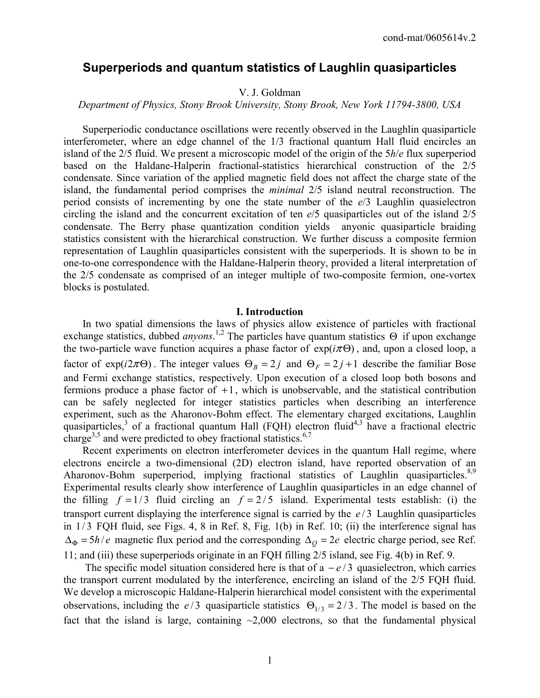# **Superperiods and quantum statistics of Laughlin quasiparticles**

# V. J. Goldman

## *Department of Physics, Stony Brook University, Stony Brook, New York 11794-3800, USA*

 Superperiodic conductance oscillations were recently observed in the Laughlin quasiparticle interferometer, where an edge channel of the 1/3 fractional quantum Hall fluid encircles an island of the 2/5 fluid. We present a microscopic model of the origin of the 5*h*/*e* flux superperiod based on the Haldane-Halperin fractional-statistics hierarchical construction of the 2/5 condensate. Since variation of the applied magnetic field does not affect the charge state of the island, the fundamental period comprises the *minimal* 2/5 island neutral reconstruction. The period consists of incrementing by one the state number of the *e*/3 Laughlin quasielectron circling the island and the concurrent excitation of ten *e*/5 quasiparticles out of the island 2/5 condensate. The Berry phase quantization condition yields anyonic quasiparticle braiding statistics consistent with the hierarchical construction. We further discuss a composite fermion representation of Laughlin quasiparticles consistent with the superperiods. It is shown to be in one-to-one correspondence with the Haldane-Halperin theory, provided a literal interpretation of the 2/5 condensate as comprised of an integer multiple of two-composite fermion, one-vortex blocks is postulated.

#### **I. Introduction**

 In two spatial dimensions the laws of physics allow existence of particles with fractional exchange statistics, dubbed *anyons*.<sup>1,2</sup> The particles have quantum statistics Θ if upon exchange the two-particle wave function acquires a phase factor of  $exp(i\pi\Theta)$ , and, upon a closed loop, a factor of  $exp(i2\pi\Theta)$ . The integer values  $\Theta_B = 2j$  and  $\Theta_F = 2j + 1$  describe the familiar Bose and Fermi exchange statistics, respectively. Upon execution of a closed loop both bosons and fermions produce a phase factor of  $+1$ , which is unobservable, and the statistical contribution can be safely neglected for integer statistics particles when describing an interference experiment, such as the Aharonov-Bohm effect. The elementary charged excitations, Laughlin quasiparticles,<sup>3</sup> of a fractional quantum Hall (FQH) electron fluid<sup>4,3</sup> have a fractional electric charge<sup>3,5</sup> and were predicted to obey fractional statistics.<sup>6,7</sup>

 Recent experiments on electron interferometer devices in the quantum Hall regime, where electrons encircle a two-dimensional (2D) electron island, have reported observation of an Aharonov-Bohm superperiod, implying fractional statistics of Laughlin quasiparticles.<sup>8,9</sup> Experimental results clearly show interference of Laughlin quasiparticles in an edge channel of the filling  $f = 1/3$  fluid circling an  $f = 2/5$  island. Experimental tests establish: (i) the transport current displaying the interference signal is carried by the  $e/3$  Laughlin quasiparticles in  $1/3$  FQH fluid, see Figs. 4, 8 in Ref. 8, Fig.  $1(b)$  in Ref. 10; (ii) the interference signal has  $\Delta_{\Phi} = 5h/e$  magnetic flux period and the corresponding  $\Delta_{\phi} = 2e$  electric charge period, see Ref. 11; and (iii) these superperiods originate in an FQH filling 2/5 island, see Fig. 4(b) in Ref. 9.

The specific model situation considered here is that of a  $-e/3$  quasielectron, which carries the transport current modulated by the interference, encircling an island of the 2/5 FQH fluid. We develop a microscopic Haldane-Halperin hierarchical model consistent with the experimental observations, including the  $e/3$  quasiparticle statistics  $\Theta_{1/3} = 2/3$ . The model is based on the fact that the island is large, containing  $\sim 2,000$  electrons, so that the fundamental physical

1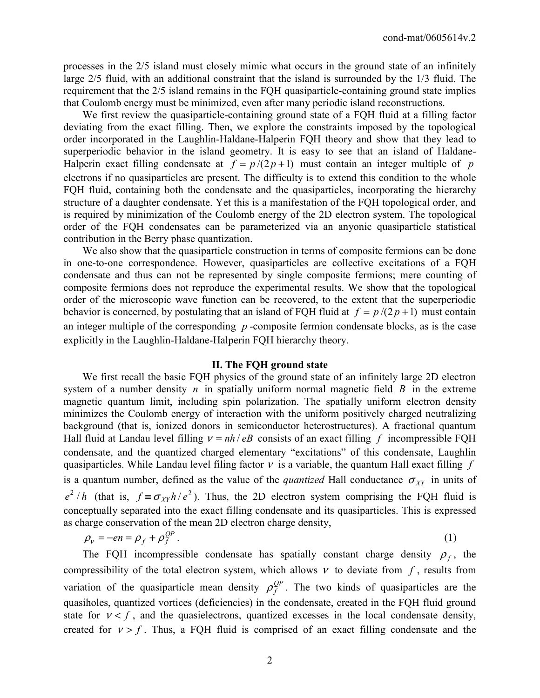processes in the 2/5 island must closely mimic what occurs in the ground state of an infinitely large 2/5 fluid, with an additional constraint that the island is surrounded by the 1/3 fluid. The requirement that the 2/5 island remains in the FQH quasiparticle-containing ground state implies that Coulomb energy must be minimized, even after many periodic island reconstructions.

 We first review the quasiparticle-containing ground state of a FQH fluid at a filling factor deviating from the exact filling. Then, we explore the constraints imposed by the topological order incorporated in the Laughlin-Haldane-Halperin FQH theory and show that they lead to superperiodic behavior in the island geometry. It is easy to see that an island of Haldane-Halperin exact filling condensate at  $f = p/(2p+1)$  must contain an integer multiple of *p* electrons if no quasiparticles are present. The difficulty is to extend this condition to the whole FQH fluid, containing both the condensate and the quasiparticles, incorporating the hierarchy structure of a daughter condensate. Yet this is a manifestation of the FQH topological order, and is required by minimization of the Coulomb energy of the 2D electron system. The topological order of the FQH condensates can be parameterized via an anyonic quasiparticle statistical contribution in the Berry phase quantization.

 We also show that the quasiparticle construction in terms of composite fermions can be done in one-to-one correspondence. However, quasiparticles are collective excitations of a FQH condensate and thus can not be represented by single composite fermions; mere counting of composite fermions does not reproduce the experimental results. We show that the topological order of the microscopic wave function can be recovered, to the extent that the superperiodic behavior is concerned, by postulating that an island of FQH fluid at  $f = p/(2p+1)$  must contain an integer multiple of the corresponding *p* -composite fermion condensate blocks, as is the case explicitly in the Laughlin-Haldane-Halperin FQH hierarchy theory.

## **II. The FQH ground state**

 We first recall the basic FQH physics of the ground state of an infinitely large 2D electron system of a number density *n* in spatially uniform normal magnetic field *B* in the extreme magnetic quantum limit, including spin polarization. The spatially uniform electron density minimizes the Coulomb energy of interaction with the uniform positively charged neutralizing background (that is, ionized donors in semiconductor heterostructures). A fractional quantum Hall fluid at Landau level filling  $v = nh / eB$  consists of an exact filling f incompressible FQH condensate, and the quantized charged elementary "excitations" of this condensate, Laughlin quasiparticles. While Landau level filing factor  $\nu$  is a variable, the quantum Hall exact filling  $f$ is a quantum number, defined as the value of the *quantized* Hall conductance  $\sigma_{XY}$  in units of  $e^{2}/h$  (that is,  $f \equiv \sigma_{XY}h/e^{2}$ ). Thus, the 2D electron system comprising the FQH fluid is conceptually separated into the exact filling condensate and its quasiparticles. This is expressed as charge conservation of the mean 2D electron charge density,

$$
\rho_{v} = -en = \rho_{f} + \rho_{f}^{QP} \tag{1}
$$

The FQH incompressible condensate has spatially constant charge density  $\rho_f$ , the compressibility of the total electron system, which allows  $\nu$  to deviate from  $f$ , results from variation of the quasiparticle mean density  $\rho_f^{QP}$ . The two kinds of quasiparticles are the quasiholes, quantized vortices (deficiencies) in the condensate, created in the FQH fluid ground state for  $v < f$ , and the quasielectrons, quantized excesses in the local condensate density, created for  $v > f$ . Thus, a FQH fluid is comprised of an exact filling condensate and the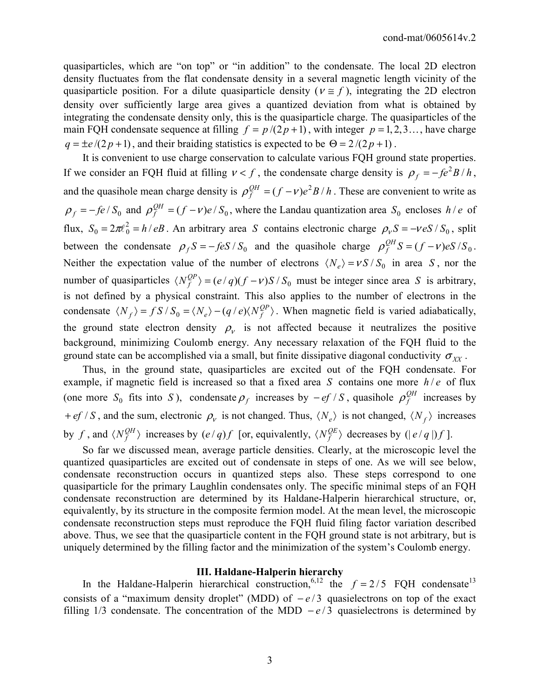quasiparticles, which are "on top" or "in addition" to the condensate. The local 2D electron density fluctuates from the flat condensate density in a several magnetic length vicinity of the quasiparticle position. For a dilute quasiparticle density ( $v \approx f$ ), integrating the 2D electron density over sufficiently large area gives a quantized deviation from what is obtained by integrating the condensate density only, this is the quasiparticle charge. The quasiparticles of the main FQH condensate sequence at filling  $f = p/(2p+1)$ , with integer  $p = 1, 2, 3, \dots$ , have charge  $q = \pm e/(2p + 1)$ , and their braiding statistics is expected to be  $\Theta = 2/(2p + 1)$ .

 It is convenient to use charge conservation to calculate various FQH ground state properties. If we consider an FQH fluid at filling  $v < f$ , the condensate charge density is  $\rho_f = -f e^2 B/h$ , and the quasihole mean charge density is  $\rho_f^{QH} = (f - v)e^2 B/h$ . These are convenient to write as  $\rho_f = -f e / S_0$  and  $\rho_f^{QH} = (f - v)e / S_0$ , where the Landau quantization area  $S_0$  encloses  $h/e$  of flux,  $S_0 = 2\pi l_0^2 = h/eB$ . An arbitrary area *S* contains electronic charge  $\rho_v S = -\nu eS / S_0$ , split between the condensate  $\rho_f S = -f e S / S_0$  and the quasihole charge  $\rho_f^{QH} S = (f - v) e S / S_0$ . Neither the expectation value of the number of electrons  $\langle N_e \rangle = v S / S_0$  in area *S*, nor the number of quasiparticles  $\langle N_f^{QP} \rangle = (e / q)(f - v)S / S_0$  must be integer since area *S* is arbitrary, is not defined by a physical constraint. This also applies to the number of electrons in the condensate  $\langle N_f \rangle = f S / S_0 = \langle N_e \rangle - (q / e) \langle N_f^{QP} \rangle$ . When magnetic field is varied adiabatically, the ground state electron density  $\rho_{v}$  is not affected because it neutralizes the positive background, minimizing Coulomb energy. Any necessary relaxation of the FQH fluid to the ground state can be accomplished via a small, but finite dissipative diagonal conductivity  $\sigma_{XX}$ .

 Thus, in the ground state, quasiparticles are excited out of the FQH condensate. For example, if magnetic field is increased so that a fixed area *S* contains one more  $h/e$  of flux (one more  $S_0$  fits into *S*), condensate  $\rho_f$  increases by  $-ef/S$ , quasihole  $\rho_f^{QH}$  increases by + *ef* / *S*, and the sum, electronic  $\rho_v$  is not changed. Thus,  $\langle N_e \rangle$  is not changed,  $\langle N_f \rangle$  increases by *f*, and  $\langle N_f^{QH} \rangle$  increases by  $(e/q)f$  [or, equivalently,  $\langle N_f^{QE} \rangle$  decreases by  $(|e/q|)f$ ].

 So far we discussed mean, average particle densities. Clearly, at the microscopic level the quantized quasiparticles are excited out of condensate in steps of one. As we will see below, condensate reconstruction occurs in quantized steps also. These steps correspond to one quasiparticle for the primary Laughlin condensates only. The specific minimal steps of an FQH condensate reconstruction are determined by its Haldane-Halperin hierarchical structure, or, equivalently, by its structure in the composite fermion model. At the mean level, the microscopic condensate reconstruction steps must reproduce the FQH fluid filing factor variation described above. Thus, we see that the quasiparticle content in the FQH ground state is not arbitrary, but is uniquely determined by the filling factor and the minimization of the system's Coulomb energy.

#### **III. Haldane-Halperin hierarchy**

In the Haldane-Halperin hierarchical construction,<sup>6,12</sup> the  $f = 2/5$  FQH condensate<sup>13</sup> consists of a "maximum density droplet" (MDD) of  $-e/3$  quasielectrons on top of the exact filling 1/3 condensate. The concentration of the MDD  $-e/3$  quasielectrons is determined by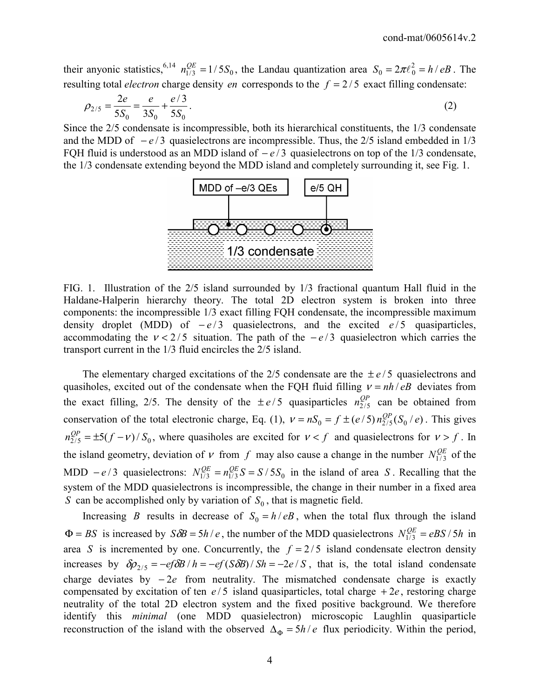their anyonic statistics, <sup>6,14</sup>  $n_{1/3}^{QE} = 1/5S_0$ , the Landau quantization area  $S_0 = 2\pi l_0^2 = h/eB$ . The resulting total *electron* charge density *en* corresponds to the  $f = 2/5$  exact filling condensate:

$$
\rho_{2/5} = \frac{2e}{5S_0} = \frac{e}{3S_0} + \frac{e/3}{5S_0}.
$$
\n(2)

Since the 2/5 condensate is incompressible, both its hierarchical constituents, the 1/3 condensate and the MDD of  $-e/3$  quasielectrons are incompressible. Thus, the 2/5 island embedded in 1/3 FQH fluid is understood as an MDD island of  $-e/3$  quasielectrons on top of the 1/3 condensate, the 1/3 condensate extending beyond the MDD island and completely surrounding it, see Fig. 1.



FIG. 1. Illustration of the 2/5 island surrounded by 1/3 fractional quantum Hall fluid in the Haldane-Halperin hierarchy theory. The total 2D electron system is broken into three components: the incompressible 1/3 exact filling FQH condensate, the incompressible maximum density droplet (MDD) of  $-e/3$  quasielectrons, and the excited  $e/5$  quasiparticles, accommodating the  $v < 2/5$  situation. The path of the  $-e/3$  quasielectron which carries the transport current in the 1/3 fluid encircles the 2/5 island.

The elementary charged excitations of the  $2/5$  condensate are the  $\pm e/5$  quasielectrons and quasiholes, excited out of the condensate when the FQH fluid filling  $v = nh / eB$  deviates from the exact filling, 2/5. The density of the  $\pm e/5$  quasiparticles  $n_{2/5}^{QP}$  can be obtained from conservation of the total electronic charge, Eq. (1),  $v = nS_0 = f \pm (e/5) n_{2/5}^{OP}(S_0 / e)$ . This gives  $n_{2/5}^{QP} = \pm 5(f - v)/S_0$ , where quasiholes are excited for  $v < f$  and quasielectrons for  $v > f$ . In the island geometry, deviation of v from f may also cause a change in the number  $N_{1/3}^{QE}$  of the MDD  $-e/3$  quasielectrons:  $N_{1/3}^{QE} = n_{1/3}^{QE} S = S/5S_0$  in the island of area *S*. Recalling that the system of the MDD quasielectrons is incompressible, the change in their number in a fixed area *S* can be accomplished only by variation of  $S_0$ , that is magnetic field.

Increasing *B* results in decrease of  $S_0 = h/eB$ , when the total flux through the island  $\Phi = BS$  is increased by  $S\delta B = 5h/e$ , the number of the MDD quasielectrons  $N_{1/3}^{QE} = eBS/5h$  in area *S* is incremented by one. Concurrently, the  $f = 2/5$  island condensate electron density increases by  $\delta \rho_{2/5} = -e f \delta B / h = -e f (S \delta B) / Sh = -2e / S$ , that is, the total island condensate charge deviates by − 2*e* from neutrality. The mismatched condensate charge is exactly compensated by excitation of ten  $e/5$  island quasiparticles, total charge  $+2e$ , restoring charge neutrality of the total 2D electron system and the fixed positive background. We therefore identify this *minimal* (one MDD quasielectron) microscopic Laughlin quasiparticle reconstruction of the island with the observed  $\Delta_{\Phi} = 5h/e$  flux periodicity. Within the period,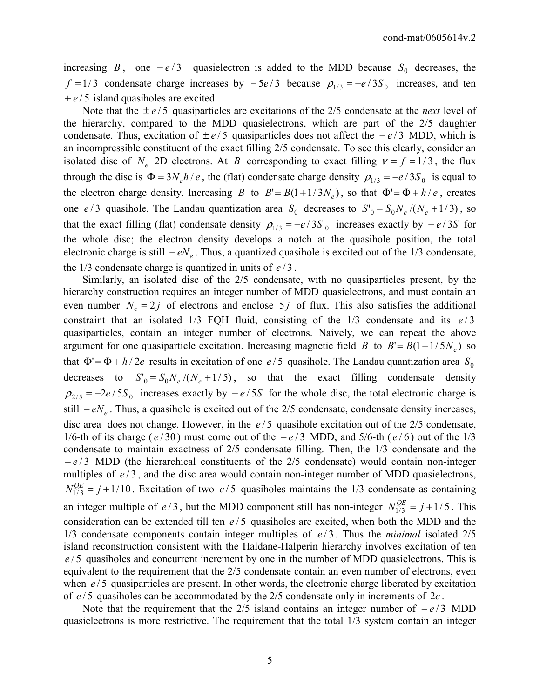increasing *B*, one  $-e/3$  quasielectron is added to the MDD because  $S_0$  decreases, the *f* = 1/3 condensate charge increases by  $-5e/3$  because  $\rho_{1/3} = -e/3S_0$  increases, and ten + *e* / 5 island quasiholes are excited.

Note that the  $\pm e/5$  quasiparticles are excitations of the 2/5 condensate at the *next* level of the hierarchy, compared to the MDD quasielectrons, which are part of the 2/5 daughter condensate. Thus, excitation of  $\pm e/5$  quasiparticles does not affect the  $-e/3$  MDD, which is an incompressible constituent of the exact filling 2/5 condensate. To see this clearly, consider an isolated disc of  $N_e$  2D electrons. At *B* corresponding to exact filling  $v = f = 1/3$ , the flux through the disc is  $\Phi = 3N_e h / e$ , the (flat) condensate charge density  $\rho_{1/3} = -e / 3S_0$  is equal to the electron charge density. Increasing *B* to  $B' = B(1 + 1/3N_e)$ , so that  $\Phi' = \Phi + h/e$ , creates one  $e/3$  quasihole. The Landau quantization area  $S_0$  decreases to  $S_0 = S_0 N_e / (N_e + 1/3)$ , so that the exact filling (flat) condensate density  $\rho_{1/3} = -e / 3S'_{0}$  increases exactly by  $-e / 3S$  for the whole disc; the electron density develops a notch at the quasihole position, the total electronic charge is still  $-eN_e$ . Thus, a quantized quasihole is excited out of the 1/3 condensate, the  $1/3$  condensate charge is quantized in units of  $e/3$ .

 Similarly, an isolated disc of the 2/5 condensate, with no quasiparticles present, by the hierarchy construction requires an integer number of MDD quasielectrons, and must contain an even number  $N_e = 2j$  of electrons and enclose 5 j of flux. This also satisfies the additional constraint that an isolated  $1/3$  FQH fluid, consisting of the  $1/3$  condensate and its  $e/3$ quasiparticles, contain an integer number of electrons. Naively, we can repeat the above argument for one quasiparticle excitation. Increasing magnetic field *B* to  $B' = B(1 + 1/5N_e)$  so that  $\Phi' = \Phi + h/2e$  results in excitation of one  $e/5$  quasihole. The Landau quantization area  $S_0$ decreases to  $S_0 = S_0 N_e / (N_e + 1/5)$ , so that the exact filling condensate density  $\rho_{2/5} = -2e/5S_0$  increases exactly by  $-e/5S$  for the whole disc, the total electronic charge is still *– eN*<sub>*e*</sub>. Thus, a quasihole is excited out of the 2/5 condensate, condensate density increases, disc area does not change. However, in the  $e/5$  quasihole excitation out of the  $2/5$  condensate, 1/6-th of its charge ( $e/30$ ) must come out of the  $-e/3$  MDD, and 5/6-th ( $e/6$ ) out of the 1/3 condensate to maintain exactness of 2/5 condensate filling. Then, the 1/3 condensate and the − *e* / 3 MDD (the hierarchical constituents of the 2/5 condensate) would contain non-integer multiples of  $e/3$ , and the disc area would contain non-integer number of MDD quasielectrons,  $N_{1/3}^{QE} = j + 1/10$ . Excitation of two *e/5* quasiholes maintains the 1/3 condensate as containing an integer multiple of  $e/3$ , but the MDD component still has non-integer  $N_{1/3}^{QE} = j + 1/5$ . This consideration can be extended till ten  $e/5$  quasiholes are excited, when both the MDD and the  $1/3$  condensate components contain integer multiples of  $e/3$ . Thus the *minimal* isolated  $2/5$ island reconstruction consistent with the Haldane-Halperin hierarchy involves excitation of ten *e* / 5 quasiholes and concurrent increment by one in the number of MDD quasielectrons. This is equivalent to the requirement that the 2/5 condensate contain an even number of electrons, even when  $e/5$  quasiparticles are present. In other words, the electronic charge liberated by excitation of  $e/5$  quasiholes can be accommodated by the  $2/5$  condensate only in increments of  $2e$ .

Note that the requirement that the 2/5 island contains an integer number of  $-e/3$  MDD quasielectrons is more restrictive. The requirement that the total 1/3 system contain an integer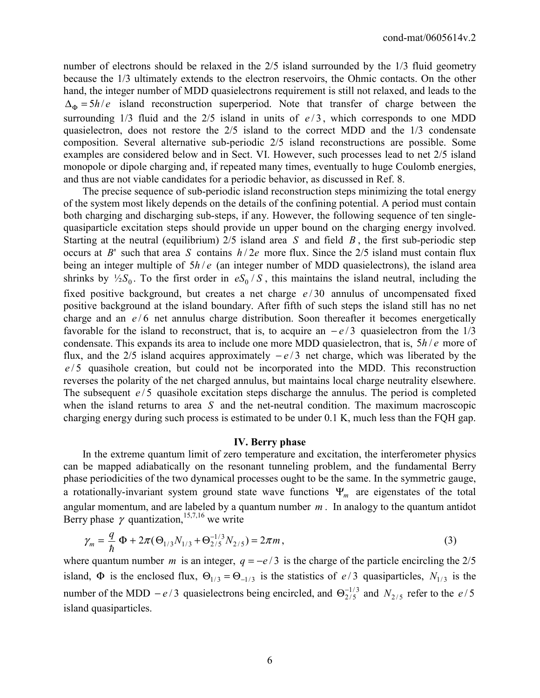number of electrons should be relaxed in the 2/5 island surrounded by the 1/3 fluid geometry because the 1/3 ultimately extends to the electron reservoirs, the Ohmic contacts. On the other hand, the integer number of MDD quasielectrons requirement is still not relaxed, and leads to the  $\Delta_{\Phi} = 5h/e$  island reconstruction superperiod. Note that transfer of charge between the surrounding  $1/3$  fluid and the  $2/5$  island in units of  $e/3$ , which corresponds to one MDD quasielectron, does not restore the 2/5 island to the correct MDD and the 1/3 condensate composition. Several alternative sub-periodic 2/5 island reconstructions are possible. Some examples are considered below and in Sect. VI. However, such processes lead to net 2/5 island monopole or dipole charging and, if repeated many times, eventually to huge Coulomb energies, and thus are not viable candidates for a periodic behavior, as discussed in Ref. 8.

 The precise sequence of sub-periodic island reconstruction steps minimizing the total energy of the system most likely depends on the details of the confining potential. A period must contain both charging and discharging sub-steps, if any. However, the following sequence of ten singlequasiparticle excitation steps should provide un upper bound on the charging energy involved. Starting at the neutral (equilibrium) 2/5 island area *S* and field *B* , the first sub-periodic step occurs at *B*' such that area *S* contains  $h/2e$  more flux. Since the 2/5 island must contain flux being an integer multiple of  $5h/e$  (an integer number of MDD quasielectrons), the island area shrinks by  $\frac{1}{2}S_0$ . To the first order in  $eS_0/S$ , this maintains the island neutral, including the fixed positive background, but creates a net charge  $e/30$  annulus of uncompensated fixed positive background at the island boundary. After fifth of such steps the island still has no net charge and an  $e/6$  net annulus charge distribution. Soon thereafter it becomes energetically favorable for the island to reconstruct, that is, to acquire an  $-e/3$  quasielectron from the 1/3 condensate. This expands its area to include one more MDD quasielectron, that is,  $5h/e$  more of flux, and the 2/5 island acquires approximately  $-e/3$  net charge, which was liberated by the e/5 quasihole creation, but could not be incorporated into the MDD. This reconstruction reverses the polarity of the net charged annulus, but maintains local charge neutrality elsewhere. The subsequent  $e/5$  quasihole excitation steps discharge the annulus. The period is completed when the island returns to area *S* and the net-neutral condition. The maximum macroscopic charging energy during such process is estimated to be under 0.1 K, much less than the FQH gap.

#### **IV. Berry phase**

 In the extreme quantum limit of zero temperature and excitation, the interferometer physics can be mapped adiabatically on the resonant tunneling problem, and the fundamental Berry phase periodicities of the two dynamical processes ought to be the same. In the symmetric gauge, a rotationally-invariant system ground state wave functions Ψ*m* are eigenstates of the total angular momentum, and are labeled by a quantum number *m* . In analogy to the quantum antidot Berry phase  $\gamma$  quantization,<sup>15,7,16</sup> we write

$$
\gamma_m = \frac{q}{\hbar} \Phi + 2\pi (\Theta_{1/3} N_{1/3} + \Theta_{2/5}^{-1/3} N_{2/5}) = 2\pi m, \qquad (3)
$$

where quantum number *m* is an integer,  $q = -e/3$  is the charge of the particle encircling the 2/5 island,  $\Phi$  is the enclosed flux,  $\Theta_{1/3} = \Theta_{-1/3}$  is the statistics of e/3 quasiparticles,  $N_{1/3}$  is the number of the MDD  $-e/3$  quasielectrons being encircled, and  $\Theta_{2/5}^{-1/3}$  and  $N_{2/5}$  refer to the  $e/5$ island quasiparticles.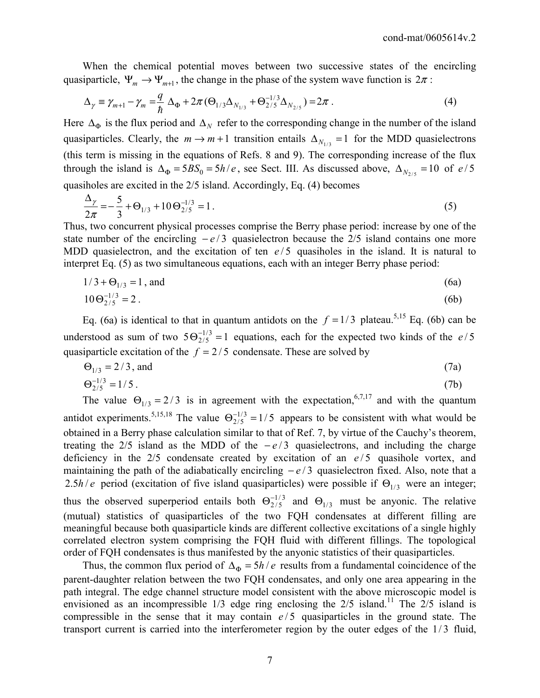When the chemical potential moves between two successive states of the encircling quasiparticle,  $\Psi_m \to \Psi_{m+1}$ , the change in the phase of the system wave function is  $2\pi$ :

$$
\Delta_{\gamma} = \gamma_{m+1} - \gamma_m = \frac{q}{\hbar} \Delta_{\Phi} + 2\pi (\Theta_{1/3} \Delta_{N_{1/3}} + \Theta_{2/5}^{-1/3} \Delta_{N_{2/5}}) = 2\pi \,. \tag{4}
$$

Here  $\Delta_{\Phi}$  is the flux period and  $\Delta_N$  refer to the corresponding change in the number of the island quasiparticles. Clearly, the  $m \rightarrow m + 1$  transition entails  $\Delta_{N_{1/3}} = 1$  for the MDD quasielectrons (this term is missing in the equations of Refs. 8 and 9). The corresponding increase of the flux through the island is  $\Delta_{\Phi} = 5BS_0 = 5h/e$ , see Sect. III. As discussed above,  $\Delta_{N_{2/5}} = 10$  of  $e/5$ quasiholes are excited in the 2/5 island. Accordingly, Eq. (4) becomes

$$
\frac{\Delta_{\gamma}}{2\pi} = -\frac{5}{3} + \Theta_{1/3} + 10 \Theta_{2/5}^{-1/3} = 1.
$$
\n(5)

Thus, two concurrent physical processes comprise the Berry phase period: increase by one of the state number of the encircling  $-e/3$  quasielectron because the 2/5 island contains one more MDD quasielectron, and the excitation of ten  $e/5$  quasiholes in the island. It is natural to interpret Eq. (5) as two simultaneous equations, each with an integer Berry phase period:

$$
1/3 + \Theta_{1/3} = 1
$$
, and (6a)

$$
10\Theta_{2/5}^{-1/3} = 2\,. \tag{6b}
$$

Eq. (6a) is identical to that in quantum antidots on the  $f = 1/3$  plateau.<sup>5,15</sup> Eq. (6b) can be understood as sum of two  $5\Theta_{2/5}^{-1/3} = 1$  equations, each for the expected two kinds of the e/5 quasiparticle excitation of the  $f = 2/5$  condensate. These are solved by

$$
\Theta_{1/3} = 2/3, \text{ and } \tag{7a}
$$

$$
\Theta_{2/5}^{-1/3} = 1/5 \tag{7b}
$$

The value  $\Theta_{1/3} = 2/3$  is in agreement with the expectation,<sup>6,7,17</sup> and with the quantum antidot experiments.<sup>5,15,18</sup> The value  $\Theta_{2/5}^{-1/3} = 1/5$  appears to be consistent with what would be obtained in a Berry phase calculation similar to that of Ref. 7, by virtue of the Cauchy's theorem, treating the 2/5 island as the MDD of the  $-e/3$  quasielectrons, and including the charge deficiency in the  $2/5$  condensate created by excitation of an  $e/5$  quasihole vortex, and maintaining the path of the adiabatically encircling  $-e/3$  quasielectron fixed. Also, note that a 2.5*h* / *e* period (excitation of five island quasiparticles) were possible if  $\Theta_{1/3}$  were an integer; thus the observed superperiod entails both  $\Theta_{2/5}^{-1/3}$  and  $\Theta_{1/3}$  must be anyonic. The relative (mutual) statistics of quasiparticles of the two FQH condensates at different filling are meaningful because both quasiparticle kinds are different collective excitations of a single highly correlated electron system comprising the FQH fluid with different fillings. The topological order of FQH condensates is thus manifested by the anyonic statistics of their quasiparticles.

Thus, the common flux period of  $\Delta_{\Phi} = 5h/e$  results from a fundamental coincidence of the parent-daughter relation between the two FQH condensates, and only one area appearing in the path integral. The edge channel structure model consistent with the above microscopic model is envisioned as an incompressible  $1/3$  edge ring enclosing the  $2/5$  island.<sup>11</sup> The  $2/5$  island is compressible in the sense that it may contain  $e/5$  quasiparticles in the ground state. The transport current is carried into the interferometer region by the outer edges of the  $1/3$  fluid,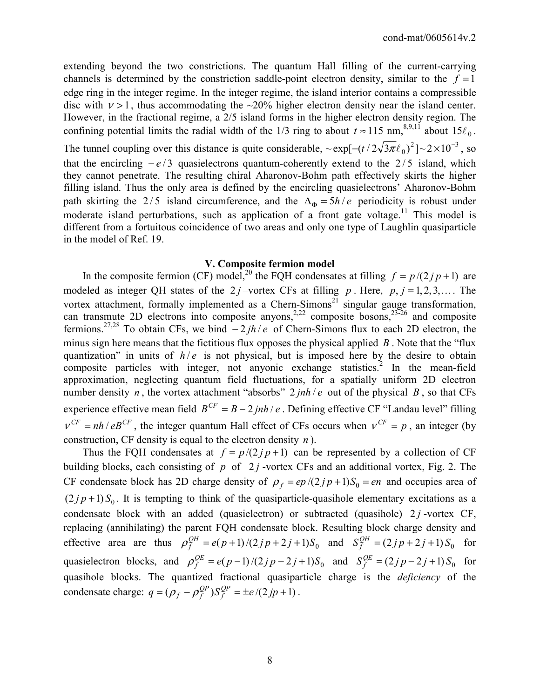extending beyond the two constrictions. The quantum Hall filling of the current-carrying channels is determined by the constriction saddle-point electron density, similar to the  $f = 1$ edge ring in the integer regime. In the integer regime, the island interior contains a compressible disc with  $v > 1$ , thus accommodating the ~20% higher electron density near the island center. However, in the fractional regime, a 2/5 island forms in the higher electron density region. The confining potential limits the radial width of the 1/3 ring to about  $t \approx 115$  nm,<sup>8,9,11</sup> about  $15\ell_0$ . The tunnel coupling over this distance is quite considerable,  $\sim \exp[-(t/2\sqrt{3\pi}\ell_0)^2] \sim 2 \times 10^{-3}$ , so that the encircling  $-e/3$  quasielectrons quantum-coherently extend to the  $2/5$  island, which they cannot penetrate. The resulting chiral Aharonov-Bohm path effectively skirts the higher filling island. Thus the only area is defined by the encircling quasielectrons' Aharonov-Bohm path skirting the 2/5 island circumference, and the  $\Delta_{\Phi} = 5h/e$  periodicity is robust under moderate island perturbations, such as application of a front gate voltage.<sup>11</sup> This model is different from a fortuitous coincidence of two areas and only one type of Laughlin quasiparticle in the model of Ref. 19.

# **V. Composite fermion model**

In the composite fermion (CF) model,<sup>20</sup> the FQH condensates at filling  $f = p/(2/p + 1)$  are modeled as integer QH states of the 2 *j*-vortex CFs at filling *p*. Here, *p*, *j* = 1, 2, 3,.... The vortex attachment, formally implemented as a Chern-Simons<sup>21</sup> singular gauge transformation, can transmute 2D electrons into composite anyons,<sup>2,22</sup> composite bosons,<sup>23-26</sup> and composite fermions.27,28 To obtain CFs, we bind − 2 *jh* / *e* of Chern-Simons flux to each 2D electron, the minus sign here means that the fictitious flux opposes the physical applied *B* . Note that the "flux quantization" in units of  $h/e$  is not physical, but is imposed here by the desire to obtain composite particles with integer, not anyonic exchange statistics.<sup>2</sup> In the mean-field approximation, neglecting quantum field fluctuations, for a spatially uniform 2D electron number density *n*, the vortex attachment "absorbs"  $2 \pi h/e$  out of the physical *B*, so that CFs experience effective mean field  $B^{CF} = B - 2jnh/e$ . Defining effective CF "Landau level" filling  $V^{CF} = nh / eB^{CF}$ , the integer quantum Hall effect of CFs occurs when  $V^{CF} = p$ , an integer (by construction, CF density is equal to the electron density *n* ).

Thus the FQH condensates at  $f = p/(2/p+1)$  can be represented by a collection of CF building blocks, each consisting of  $p$  of  $2j$ -vortex CFs and an additional vortex, Fig. 2. The CF condensate block has 2D charge density of  $\rho_f = ep/(2jp+1)S_0 = en$  and occupies area of  $(2 j p + 1) S<sub>0</sub>$ . It is tempting to think of the quasiparticle-quasihole elementary excitations as a condensate block with an added (quasielectron) or subtracted (quasihole)  $2j$ -vortex CF, replacing (annihilating) the parent FQH condensate block. Resulting block charge density and effective area are thus  $\rho_f^{QH} = e(p+1)/(2j p + 2j + 1)S_0$  and  $S_f^{QH} = (2j p + 2j + 1)S_0$  for quasielectron blocks, and  $\rho_f^{QE} = e(p-1)/(2jp-2j+1)S_0$  and  $S_f^{QE} = (2jp-2j+1)S_0$  for quasihole blocks. The quantized fractional quasiparticle charge is the *deficiency* of the condensate charge:  $q = (\rho_f - \rho_f^{QP})S_f^{QP} = \pm e/(2jp+1)$ .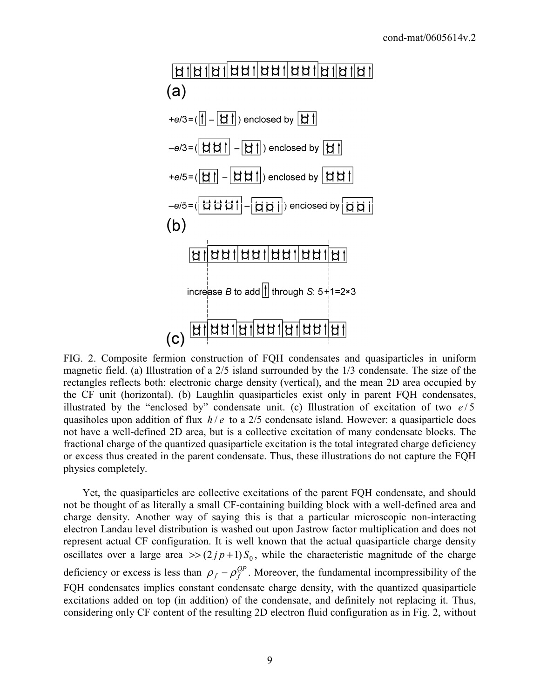

FIG. 2. Composite fermion construction of FQH condensates and quasiparticles in uniform magnetic field. (a) Illustration of a 2/5 island surrounded by the 1/3 condensate. The size of the rectangles reflects both: electronic charge density (vertical), and the mean 2D area occupied by the CF unit (horizontal). (b) Laughlin quasiparticles exist only in parent FQH condensates, illustrated by the "enclosed by" condensate unit. (c) Illustration of excitation of two  $e/5$ quasiholes upon addition of flux  $h/e$  to a 2/5 condensate island. However: a quasiparticle does not have a well-defined 2D area, but is a collective excitation of many condensate blocks. The fractional charge of the quantized quasiparticle excitation is the total integrated charge deficiency or excess thus created in the parent condensate. Thus, these illustrations do not capture the FQH physics completely.

 Yet, the quasiparticles are collective excitations of the parent FQH condensate, and should not be thought of as literally a small CF-containing building block with a well-defined area and charge density. Another way of saying this is that a particular microscopic non-interacting electron Landau level distribution is washed out upon Jastrow factor multiplication and does not represent actual CF configuration. It is well known that the actual quasiparticle charge density oscillates over a large area  $\gg (2/p+1) S_0$ , while the characteristic magnitude of the charge deficiency or excess is less than  $\rho_f - \rho_f^{QP}$ . Moreover, the fundamental incompressibility of the FQH condensates implies constant condensate charge density, with the quantized quasiparticle excitations added on top (in addition) of the condensate, and definitely not replacing it. Thus, considering only CF content of the resulting 2D electron fluid configuration as in Fig. 2, without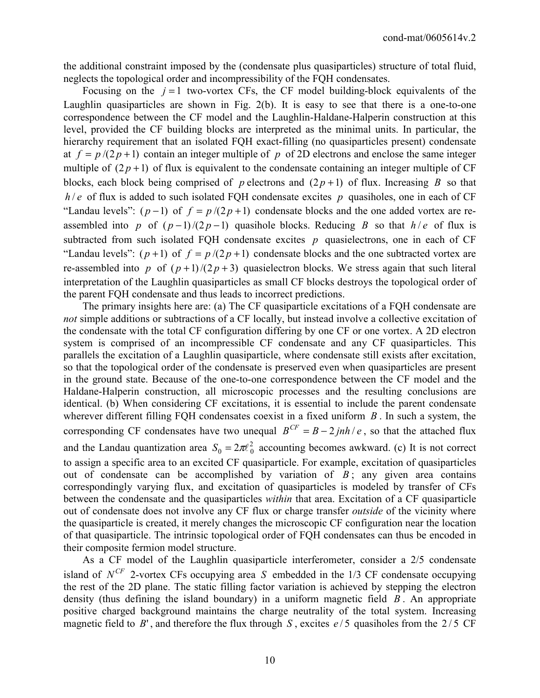the additional constraint imposed by the (condensate plus quasiparticles) structure of total fluid, neglects the topological order and incompressibility of the FQH condensates.

Focusing on the  $j = 1$  two-vortex CFs, the CF model building-block equivalents of the Laughlin quasiparticles are shown in Fig. 2(b). It is easy to see that there is a one-to-one correspondence between the CF model and the Laughlin-Haldane-Halperin construction at this level, provided the CF building blocks are interpreted as the minimal units. In particular, the hierarchy requirement that an isolated FQH exact-filling (no quasiparticles present) condensate at  $f = p/(2p+1)$  contain an integer multiple of p of 2D electrons and enclose the same integer multiple of  $(2p+1)$  of flux is equivalent to the condensate containing an integer multiple of CF blocks, each block being comprised of *p* electrons and  $(2p+1)$  of flux. Increasing *B* so that  $h/e$  of flux is added to such isolated FQH condensate excites p quasiholes, one in each of CF "Landau levels":  $(p-1)$  of  $f = p/(2p+1)$  condensate blocks and the one added vortex are reassembled into *p* of  $(p-1)/(2p-1)$  quasihole blocks. Reducing *B* so that  $h/e$  of flux is subtracted from such isolated FQH condensate excites  $p$  quasielectrons, one in each of CF "Landau levels":  $(p+1)$  of  $f = p/(2p+1)$  condensate blocks and the one subtracted vortex are re-assembled into *p* of  $(p+1)/(2p+3)$  quasielectron blocks. We stress again that such literal interpretation of the Laughlin quasiparticles as small CF blocks destroys the topological order of the parent FQH condensate and thus leads to incorrect predictions.

 The primary insights here are: (a) The CF quasiparticle excitations of a FQH condensate are *not* simple additions or subtractions of a CF locally, but instead involve a collective excitation of the condensate with the total CF configuration differing by one CF or one vortex. A 2D electron system is comprised of an incompressible CF condensate and any CF quasiparticles. This parallels the excitation of a Laughlin quasiparticle, where condensate still exists after excitation, so that the topological order of the condensate is preserved even when quasiparticles are present in the ground state. Because of the one-to-one correspondence between the CF model and the Haldane-Halperin construction, all microscopic processes and the resulting conclusions are identical. (b) When considering CF excitations, it is essential to include the parent condensate wherever different filling FQH condensates coexist in a fixed uniform *B* . In such a system, the corresponding CF condensates have two unequal  $B^{CF} = B - 2jnh/e$ , so that the attached flux and the Landau quantization area  $S_0 = 2\pi l_0^2$  accounting becomes awkward. (c) It is not correct to assign a specific area to an excited CF quasiparticle. For example, excitation of quasiparticles out of condensate can be accomplished by variation of  $B$ ; any given area contains correspondingly varying flux, and excitation of quasiparticles is modeled by transfer of CFs between the condensate and the quasiparticles *within* that area. Excitation of a CF quasiparticle out of condensate does not involve any CF flux or charge transfer *outside* of the vicinity where the quasiparticle is created, it merely changes the microscopic CF configuration near the location of that quasiparticle. The intrinsic topological order of FQH condensates can thus be encoded in their composite fermion model structure.

 As a CF model of the Laughlin quasiparticle interferometer, consider a 2/5 condensate island of  $N^{CF}$  2-vortex CFs occupying area *S* embedded in the 1/3 CF condensate occupying the rest of the 2D plane. The static filling factor variation is achieved by stepping the electron density (thus defining the island boundary) in a uniform magnetic field *B* . An appropriate positive charged background maintains the charge neutrality of the total system. Increasing magnetic field to  $B'$ , and therefore the flux through *S*, excites  $e/5$  quasiholes from the 2/5 CF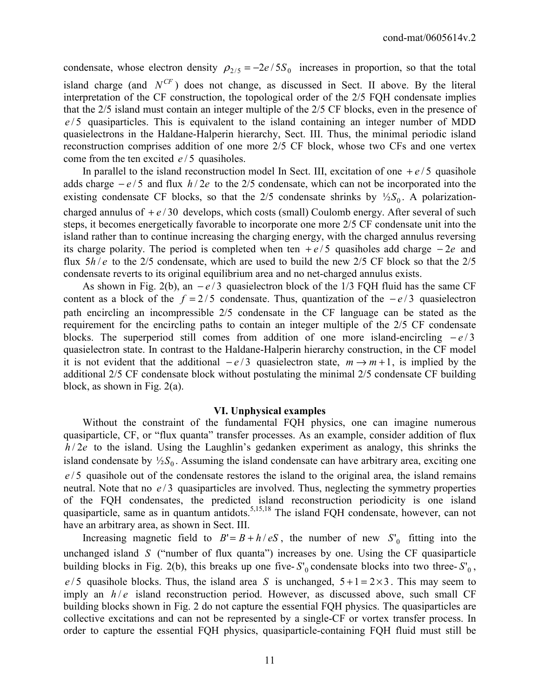condensate, whose electron density  $\rho_{2/5} = -2e/5S_0$  increases in proportion, so that the total island charge (and  $N^{CF}$ ) does not change, as discussed in Sect. II above. By the literal interpretation of the CF construction, the topological order of the 2/5 FQH condensate implies that the 2/5 island must contain an integer multiple of the 2/5 CF blocks, even in the presence of  $e/5$  quasiparticles. This is equivalent to the island containing an integer number of MDD quasielectrons in the Haldane-Halperin hierarchy, Sect. III. Thus, the minimal periodic island reconstruction comprises addition of one more 2/5 CF block, whose two CFs and one vertex come from the ten excited  $e/5$  quasiholes.

In parallel to the island reconstruction model In Sect. III, excitation of one  $+e/5$  quasihole adds charge  $-e/5$  and flux  $h/2e$  to the 2/5 condensate, which can not be incorporated into the existing condensate CF blocks, so that the 2/5 condensate shrinks by  $\frac{1}{2}S_0$ . A polarizationcharged annulus of  $+e/30$  develops, which costs (small) Coulomb energy. After several of such steps, it becomes energetically favorable to incorporate one more 2/5 CF condensate unit into the island rather than to continue increasing the charging energy, with the charged annulus reversing its charge polarity. The period is completed when ten  $+e/5$  quasiholes add charge  $-2e$  and flux  $5h/e$  to the 2/5 condensate, which are used to build the new 2/5 CF block so that the 2/5 condensate reverts to its original equilibrium area and no net-charged annulus exists.

As shown in Fig. 2(b), an  $-e/3$  quasielectron block of the 1/3 FQH fluid has the same CF content as a block of the  $f = 2/5$  condensate. Thus, quantization of the  $-e/3$  quasielectron path encircling an incompressible 2/5 condensate in the CF language can be stated as the requirement for the encircling paths to contain an integer multiple of the 2/5 CF condensate blocks. The superperiod still comes from addition of one more island-encircling  $-e/3$ quasielectron state. In contrast to the Haldane-Halperin hierarchy construction, in the CF model it is not evident that the additional  $-e/3$  quasielectron state,  $m \rightarrow m+1$ , is implied by the additional 2/5 CF condensate block without postulating the minimal 2/5 condensate CF building block, as shown in Fig. 2(a).

#### **VI. Unphysical examples**

 Without the constraint of the fundamental FQH physics, one can imagine numerous quasiparticle, CF, or "flux quanta" transfer processes. As an example, consider addition of flux  $h/2e$  to the island. Using the Laughlin's gedanken experiment as analogy, this shrinks the island condensate by  $\frac{1}{2}S_0$ . Assuming the island condensate can have arbitrary area, exciting one *e* / 5 quasihole out of the condensate restores the island to the original area, the island remains neutral. Note that no  $e/3$  quasiparticles are involved. Thus, neglecting the symmetry properties of the FQH condensates, the predicted island reconstruction periodicity is one island quasiparticle, same as in quantum antidots.<sup>5,15,18</sup> The island FQH condensate, however, can not have an arbitrary area, as shown in Sect. III.

Increasing magnetic field to  $B' = B + h/eS$ , the number of new  $S'_0$  fitting into the unchanged island *S* ("number of flux quanta") increases by one. Using the CF quasiparticle building blocks in Fig. 2(b), this breaks up one five- $S'_0$  condensate blocks into two three- $S'_0$ ,  $e/5$  quasihole blocks. Thus, the island area *S* is unchanged,  $5+1=2\times3$ . This may seem to imply an  $h/e$  island reconstruction period. However, as discussed above, such small CF building blocks shown in Fig. 2 do not capture the essential FQH physics. The quasiparticles are collective excitations and can not be represented by a single-CF or vortex transfer process. In order to capture the essential FQH physics, quasiparticle-containing FQH fluid must still be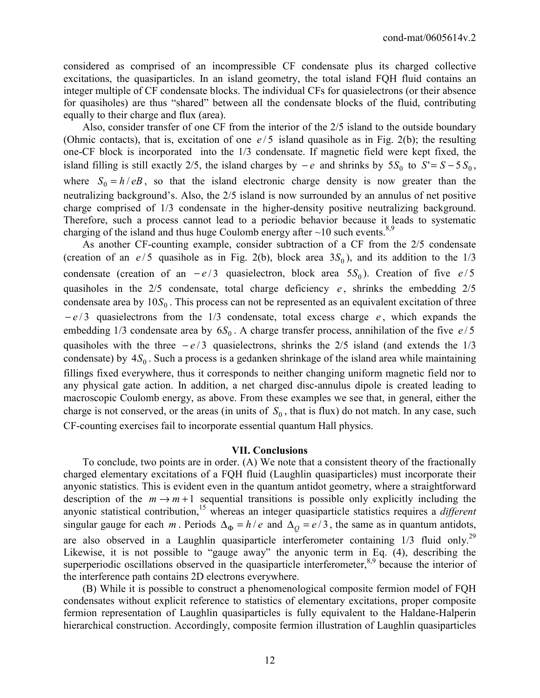considered as comprised of an incompressible CF condensate plus its charged collective excitations, the quasiparticles. In an island geometry, the total island FQH fluid contains an integer multiple of CF condensate blocks. The individual CFs for quasielectrons (or their absence for quasiholes) are thus "shared" between all the condensate blocks of the fluid, contributing equally to their charge and flux (area).

 Also, consider transfer of one CF from the interior of the 2/5 island to the outside boundary (Ohmic contacts), that is, excitation of one  $e/5$  island quasihole as in Fig. 2(b); the resulting one-CF block is incorporated into the 1/3 condensate. If magnetic field were kept fixed, the island filling is still exactly 2/5, the island charges by  $-e$  and shrinks by  $5S_0$  to  $S' = S - 5S_0$ , where  $S_0 = h / eB$ , so that the island electronic charge density is now greater than the neutralizing background's. Also, the 2/5 island is now surrounded by an annulus of net positive charge comprised of 1/3 condensate in the higher-density positive neutralizing background. Therefore, such a process cannot lead to a periodic behavior because it leads to systematic charging of the island and thus huge Coulomb energy after  $\sim$ 10 such events.<sup>8,9</sup>

 As another CF-counting example, consider subtraction of a CF from the 2/5 condensate (creation of an  $e/5$  quasihole as in Fig. 2(b), block area  $3S_0$ ), and its addition to the  $1/3$ condensate (creation of an  $-e/3$  quasielectron, block area  $5S_0$ ). Creation of five  $e/5$ quasiholes in the  $2/5$  condensate, total charge deficiency  $e$ , shrinks the embedding  $2/5$ condensate area by  $10S_0$ . This process can not be represented as an equivalent excitation of three − *e* / 3 quasielectrons from the 1/3 condensate, total excess charge *e* , which expands the embedding 1/3 condensate area by  $6S_0$ . A charge transfer process, annihilation of the five  $e/5$ quasiholes with the three  $-e/3$  quasielectrons, shrinks the 2/5 island (and extends the 1/3 condensate) by  $4S_0$ . Such a process is a gedanken shrinkage of the island area while maintaining fillings fixed everywhere, thus it corresponds to neither changing uniform magnetic field nor to any physical gate action. In addition, a net charged disc-annulus dipole is created leading to macroscopic Coulomb energy, as above. From these examples we see that, in general, either the charge is not conserved, or the areas (in units of  $S_0$ , that is flux) do not match. In any case, such CF-counting exercises fail to incorporate essential quantum Hall physics.

#### **VII. Conclusions**

 To conclude, two points are in order. (A) We note that a consistent theory of the fractionally charged elementary excitations of a FQH fluid (Laughlin quasiparticles) must incorporate their anyonic statistics. This is evident even in the quantum antidot geometry, where a straightforward description of the  $m \rightarrow m+1$  sequential transitions is possible only explicitly including the anyonic statistical contribution,<sup>15</sup> whereas an integer quasiparticle statistics requires a *different* singular gauge for each *m*. Periods  $\Delta_{\Phi} = h/e$  and  $\Delta_{\phi} = e/3$ , the same as in quantum antidots, are also observed in a Laughlin quasiparticle interferometer containing  $1/3$  fluid only.<sup>29</sup> Likewise, it is not possible to "gauge away" the anyonic term in Eq. (4), describing the superperiodic oscillations observed in the quasiparticle interferometer,<sup>8,9</sup> because the interior of the interference path contains 2D electrons everywhere.

 (B) While it is possible to construct a phenomenological composite fermion model of FQH condensates without explicit reference to statistics of elementary excitations, proper composite fermion representation of Laughlin quasiparticles is fully equivalent to the Haldane-Halperin hierarchical construction. Accordingly, composite fermion illustration of Laughlin quasiparticles